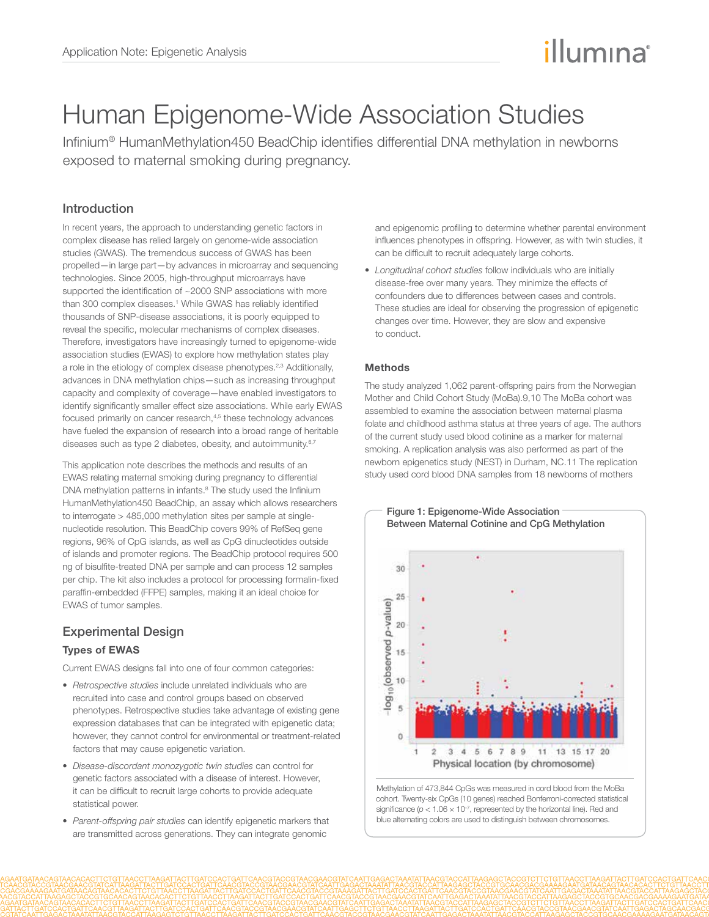# illumına

## Human Epigenome-Wide Association Studies

Infinium® HumanMethylation450 BeadChip identifies differential DNA methylation in newborns exposed to maternal smoking during pregnancy.

## Introduction

In recent years, the approach to understanding genetic factors in complex disease has relied largely on genome-wide association studies (GWAS). The tremendous success of GWAS has been propelled—in large part—by advances in microarray and sequencing technologies. Since 2005, high-throughput microarrays have supported the identification of ~2000 SNP associations with more than 300 complex diseases.<sup>1</sup> While GWAS has reliably identified thousands of SNP-disease associations, it is poorly equipped to reveal the specific, molecular mechanisms of complex diseases. Therefore, investigators have increasingly turned to epigenome-wide association studies (EWAS) to explore how methylation states play a role in the etiology of complex disease phenotypes.<sup>2,3</sup> Additionally, advances in DNA methylation chips—such as increasing throughput capacity and complexity of coverage—have enabled investigators to identify significantly smaller effect size associations. While early EWAS focused primarily on cancer research,<sup>4,5</sup> these technology advances have fueled the expansion of research into a broad range of heritable diseases such as type 2 diabetes, obesity, and autoimmunity.<sup>6,7</sup>

This application note describes the methods and results of an EWAS relating maternal smoking during pregnancy to differential DNA methylation patterns in infants.<sup>8</sup> The study used the Infinium HumanMethylation450 BeadChip, an assay which allows researchers to interrogate > 485,000 methylation sites per sample at singlenucleotide resolution. This BeadChip covers 99% of RefSeq gene regions, 96% of CpG islands, as well as CpG dinucleotides outside of islands and promoter regions. The BeadChip protocol requires 500 ng of bisulfite-treated DNA per sample and can process 12 samples per chip. The kit also includes a protocol for processing formalin-fixed paraffin-embedded (FFPE) samples, making it an ideal choice for EWAS of tumor samples.

## Experimental Design

## Types of EWAS

Current EWAS designs fall into one of four common categories:

- *Retrospective studies* include unrelated individuals who are recruited into case and control groups based on observed phenotypes. Retrospective studies take advantage of existing gene expression databases that can be integrated with epigenetic data; however, they cannot control for environmental or treatment-related factors that may cause epigenetic variation.
- • *Disease-discordant monozygotic twin studies* can control for genetic factors associated with a disease of interest. However, it can be difficult to recruit large cohorts to provide adequate statistical power.
- • *Parent-offspring pair studies* can identify epigenetic markers that are transmitted across generations. They can integrate genomic

and epigenomic profiling to determine whether parental environment influences phenotypes in offspring. However, as with twin studies, it can be difficult to recruit adequately large cohorts.

• *Longitudinal cohort studies* follow individuals who are initially disease-free over many years. They minimize the effects of confounders due to differences between cases and controls. These studies are ideal for observing the progression of epigenetic changes over time. However, they are slow and expensive to conduct.

#### **Methods**

The study analyzed 1,062 parent-offspring pairs from the Norwegian Mother and Child Cohort Study (MoBa).9,10 The MoBa cohort was assembled to examine the association between maternal plasma folate and childhood asthma status at three years of age. The authors of the current study used blood cotinine as a marker for maternal smoking. A replication analysis was also performed as part of the newborn epigenetics study (NEST) in Durham, NC.11 The replication study used cord blood DNA samples from 18 newborns of mothers



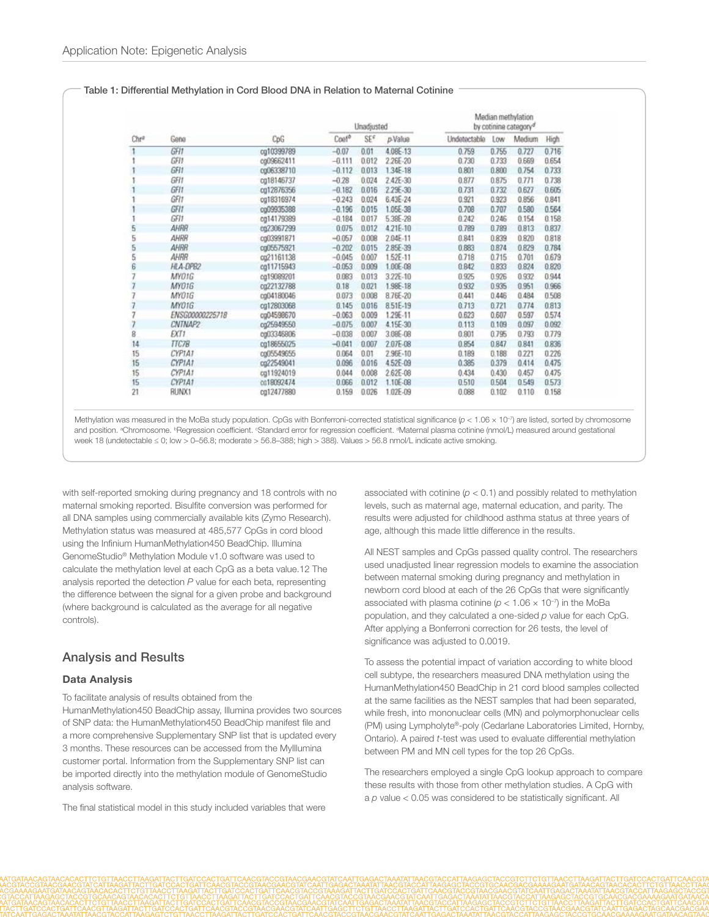#### Table 1: Differential Methylation in Cord Blood DNA in Relation to Maternal Cotinine

| Chr® | Gene            | CpG        | Unadjusted |       |          | Median methylation<br>by cotinine category <sup>d</sup> |       |        |       |
|------|-----------------|------------|------------|-------|----------|---------------------------------------------------------|-------|--------|-------|
|      |                 |            | Coaf®      | SE€   | p-Value  | Undetectable                                            | Low   | Medium | High  |
|      | GFI1            | cg10399789 | $-0.07$    | 0.01  | 4.08E-13 | 0.759                                                   | 0.755 | 0.727  | 0.716 |
|      | GFI1            | cg09662411 | $-0.111$   | 0.012 | 2.26E-20 | 0.730                                                   | 0.733 | 0.669  | 8.654 |
|      | GFI1            | cg06338710 | $-0.112$   | 0.013 | 1,34E-18 | 0.801                                                   | 0.800 | 0.754  | 0.733 |
|      | GFIT            | cg18146737 | $-0.28$    | 0.024 | 2.42E-30 | 0.877                                                   | 0.875 | 0.771  | 0.738 |
|      | GFI1            | cg12876356 | $-0.182$   | 0.016 | 2.29E-30 | 0.731                                                   | 0.732 | 0.627  | 0.605 |
|      | GFIT            | cg18316974 | $-0.243$   | 0.024 | 6.43E-24 | 0.921                                                   | 0.923 | 0.856  | 0.841 |
|      | GFIT            | cg09935388 | $-0.196$   | 0.015 | 1.05E-38 | 0.708                                                   | 0.707 | 0.580  | 0.564 |
|      | GFI1            | cg14179389 | $-0.184$   | 0.017 | 5.38E-28 | 0.242                                                   | 0.246 | 0.154  | 0.158 |
| 5    | AHRR            | 0023067299 | 0.075      | 0.012 | 4.21E-10 | 0.789                                                   | 0.789 | 0.813  | 0.837 |
| 5    | AHRR            | cg03991871 | $-0.057$   | 0.008 | 2.04E-11 | 0.841                                                   | 0.839 | 0.820  | 0.818 |
| 5    | AHRR            | cg05575921 | $-0.202$   | 0.015 | 285E-39  | 0.883                                                   | 0.874 | 0.829  | 0.784 |
| 5    | AHRR            | cg21161138 | $-0.045$   | 0.007 | 1.52E-11 | 0.718                                                   | 0.715 | 0.701  | 0.679 |
| 6    | HLA-DPB2        | cg11715943 | $-0.053$   | 0.009 | 1.00E-08 | 0.842                                                   | 0.833 | 0.824  | 0.820 |
|      | <b>MYD1G</b>    | cg19089201 | 0.083      | 0.013 | 3.22E-10 | 0.925                                                   | 0926  | 0.932  | 0.944 |
|      | MY01G           | c022132788 | 0.18       | 0.021 | 1.98E-18 | 0.932                                                   | 0.935 | 0.951  | 0.966 |
|      | MYO1G           | cg04180046 | 0.073      | 0.008 | 8.76E-20 | 0.441                                                   | 0.446 | 0.484  | 0.508 |
|      | MY01G           | cg17803068 | 0.145      | 0.016 | 8.51E-19 | 0.713                                                   | 0.721 | 0.774  | 0.813 |
| ч    | ENSG00000225718 | cg04596670 | $-0.063$   | 0.009 | 1.29E-11 | 0.623                                                   | 0.607 | 0.597  | 0.574 |
|      | CNTNAP2         | cg25949550 | $-0.075$   | 0.007 | 4.15E-30 | 0.113                                                   | 0.109 | 0.097  | 8.892 |
| 8    | ĐCT 1           | cg03346806 | $-0.038$   | 0.007 | 3.08E-08 | 0.801                                                   | 0.795 | 0.793  | 0.779 |
| 14   | TTC7B           | cg18655025 | $-0.041$   | 0.007 | 2.07E-08 | 0.854                                                   | 0.847 | 0.841  | 0.836 |
| 15   | CYP1A1          | cg05549655 | 0.064      | 0.01  | 2.96E-10 | 0.189                                                   | 0.188 | 0.221  | 0.226 |
| 15   | CYP1A1          | cg22549041 | 0.096      | 0.016 | 4.52E-09 | 0.385                                                   | 0.379 | 0.414  | 0.475 |
| 15   | CYP1A1          | cg11924019 | 0.044      | 0.008 | 2.62E-08 | 0.434                                                   | 0.430 | 0.457  | 0.475 |
| 15   | CYP1A1          | cc18092474 | 0.066      | 0.012 | 1.10E-08 | 0.510                                                   | 0.504 | 0.549  | 0.573 |
| 21   | RUNX1           | cg12477880 | 0.159      | 0.026 | 1.02E-09 | 0.088                                                   | 0.102 | 0.110  | 0.158 |

Methylation was measured in the MoBa study population. CpGs with Bonferroni-corrected statistical significance ( $p < 1.06 \times 10^{-7}$ ) are listed, sorted by chromosome and position. <sup>a</sup>Chromosome. <sup>6</sup>Regression coefficient. *"Standard error for regression coefficient*. <sup>4</sup>Maternal plasma cotinine (nmol/L) measured around gestational week 18 (undetectable ≤ 0; low > 0–56.8; moderate > 56.8–388; high > 388). Values > 56.8 nmol/L indicate active smoking.

with self-reported smoking during pregnancy and 18 controls with no maternal smoking reported. Bisulfite conversion was performed for all DNA samples using commercially available kits (Zymo Research). Methylation status was measured at 485,577 CpGs in cord blood using the Infinium HumanMethylation450 BeadChip. Illumina GenomeStudio® Methylation Module v1.0 software was used to calculate the methylation level at each CpG as a beta value.12 The analysis reported the detection *P* value for each beta, representing the difference between the signal for a given probe and background (where background is calculated as the average for all negative controls).

## Analysis and Results

#### Data Analysis

To facilitate analysis of results obtained from the HumanMethylation450 BeadChip assay, Illumina provides two sources of SNP data: the HumanMethylation450 BeadChip manifest file and a more comprehensive Supplementary SNP list that is updated every 3 months. These resources can be accessed from the MyIllumina customer portal. Information from the Supplementary SNP list can be imported directly into the methylation module of GenomeStudio analysis software.

The final statistical model in this study included variables that were

associated with cotinine  $(p < 0.1)$  and possibly related to methylation levels, such as maternal age, maternal education, and parity. The results were adjusted for childhood asthma status at three years of age, although this made little difference in the results.

All NEST samples and CpGs passed quality control. The researchers used unadjusted linear regression models to examine the association between maternal smoking during pregnancy and methylation in newborn cord blood at each of the 26 CpGs that were significantly associated with plasma cotinine ( $p < 1.06 \times 10^{-7}$ ) in the MoBa population, and they calculated a one-sided *p* value for each CpG. After applying a Bonferroni correction for 26 tests, the level of significance was adjusted to 0.0019.

To assess the potential impact of variation according to white blood cell subtype, the researchers measured DNA methylation using the HumanMethylation450 BeadChip in 21 cord blood samples collected at the same facilities as the NEST samples that had been separated, while fresh, into mononuclear cells (MN) and polymorphonuclear cells (PM) using Lympholyte®-poly (Cedarlane Laboratories Limited, Hornby, Ontario). A paired *t*-test was used to evaluate differential methylation between PM and MN cell types for the top 26 CpGs.

The researchers employed a single CpG lookup approach to compare these results with those from other methylation studies. A CpG with a *p* value < 0.05 was considered to be statistically significant. All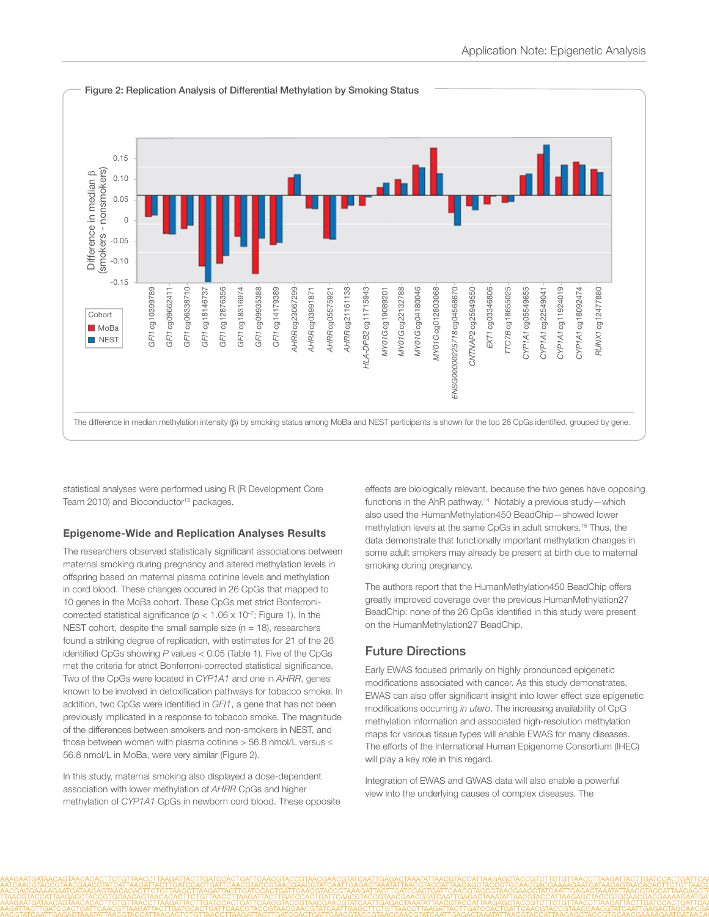

statistical analyses were performed using R (R Development Core Team 2010) and Bioconductor<sup>13</sup> packages.

#### Epigenome-Wide and Replication Analyses Results

The researchers observed statistically significant associations between maternal smoking during pregnancy and altered methylation levels in offspring based on maternal plasma cotinine levels and methylation in cord blood. These changes occured in 26 CpGs that mapped to 10 genes in the MoBa cohort. These CpGs met strict Bonferronicorrected statistical significance ( $p < 1.06 \times 10^{-7}$ ; Figure 1). In the NEST cohort, despite the small sample size ( $n = 18$ ), researchers found a striking degree of replication, with estimates for 21 of the 26 identified CpGs showing *P* values < 0.05 (Table 1). Five of the CpGs met the criteria for strict Bonferroni-corrected statistical significance. Two of the CpGs were located in *CYP1A1* and one in *AHRR*, genes known to be involved in detoxification pathways for tobacco smoke. In addition, two CpGs were identified in *GFI1*, a gene that has not been previously implicated in a response to tobacco smoke. The magnitude of the differences between smokers and non-smokers in NEST, and those between women with plasma cotinine > 56.8 nmol/L versus ≤ 56.8 nmol/L in MoBa, were very similar (Figure 2).

In this study, maternal smoking also displayed a dose-dependent association with lower methylation of *AHRR* CpGs and higher methylation of *CYP1A1* CpGs in newborn cord blood. These opposite

effects are biologically relevant, because the two genes have opposing functions in the AhR pathway.<sup>14</sup> Notably a previous study—which also used the HumanMethylation450 BeadChip—showed lower methylation levels at the same CpGs in adult smokers.15 Thus, the data demonstrate that functionally important methylation changes in some adult smokers may already be present at birth due to maternal smoking during pregnancy.

The authors report that the HumanMethylation450 BeadChip offers greatly improved coverage over the previous HumanMethylation27 BeadChip: none of the 26 CpGs identified in this study were present on the HumanMethylation27 BeadChip.

#### Future Directions

Early EWAS focused primarily on highly pronounced epigenetic modifications associated with cancer. As this study demonstrates, EWAS can also offer significant insight into lower effect size epigenetic modifications occurring *in utero*. The increasing availability of CpG methylation information and associated high-resolution methylation maps for various tissue types will enable EWAS for many diseases. The efforts of the International Human Epigenome Consortium (IHEC) will play a key role in this regard.

Integration of EWAS and GWAS data will also enable a powerful view into the underlying causes of complex diseases. The